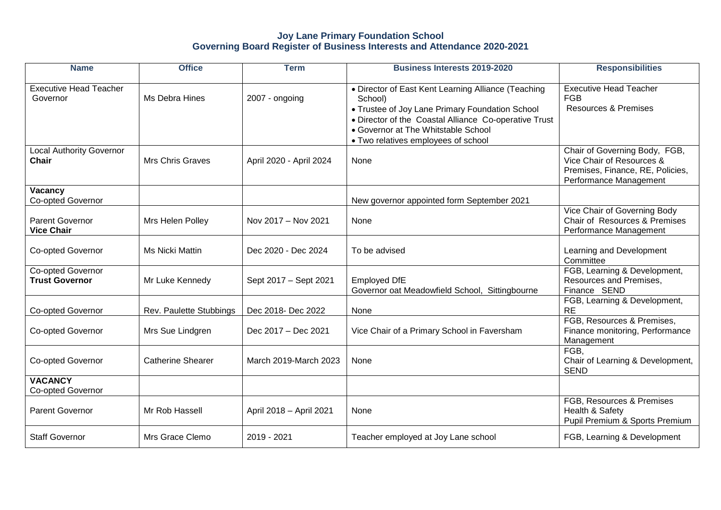## **Joy Lane Primary Foundation School Governing Board Register of Business Interests and Attendance 2020-2021**

| <b>Name</b>                                 | <b>Office</b>            | <b>Term</b>             | <b>Business Interests 2019-2020</b>                                                                                                                                                                                                                      | <b>Responsibilities</b>                                                                                                  |
|---------------------------------------------|--------------------------|-------------------------|----------------------------------------------------------------------------------------------------------------------------------------------------------------------------------------------------------------------------------------------------------|--------------------------------------------------------------------------------------------------------------------------|
| <b>Executive Head Teacher</b><br>Governor   | Ms Debra Hines           | 2007 - ongoing          | • Director of East Kent Learning Alliance (Teaching<br>School)<br>• Trustee of Joy Lane Primary Foundation School<br>• Director of the Coastal Alliance Co-operative Trust<br>• Governor at The Whitstable School<br>• Two relatives employees of school | <b>Executive Head Teacher</b><br><b>FGB</b><br><b>Resources &amp; Premises</b>                                           |
| <b>Local Authority Governor</b><br>Chair    | <b>Mrs Chris Graves</b>  | April 2020 - April 2024 | None                                                                                                                                                                                                                                                     | Chair of Governing Body, FGB,<br>Vice Chair of Resources &<br>Premises, Finance, RE, Policies,<br>Performance Management |
| Vacancy<br>Co-opted Governor                |                          |                         | New governor appointed form September 2021                                                                                                                                                                                                               |                                                                                                                          |
| <b>Parent Governor</b><br><b>Vice Chair</b> | Mrs Helen Polley         | Nov 2017 - Nov 2021     | None                                                                                                                                                                                                                                                     | Vice Chair of Governing Body<br>Chair of Resources & Premises<br>Performance Management                                  |
| <b>Co-opted Governor</b>                    | <b>Ms Nicki Mattin</b>   | Dec 2020 - Dec 2024     | To be advised                                                                                                                                                                                                                                            | Learning and Development<br>Committee                                                                                    |
| Co-opted Governor<br><b>Trust Governor</b>  | Mr Luke Kennedy          | Sept 2017 - Sept 2021   | <b>Employed DfE</b><br>Governor oat Meadowfield School, Sittingbourne                                                                                                                                                                                    | FGB, Learning & Development,<br>Resources and Premises,<br>Finance SEND                                                  |
| <b>Co-opted Governor</b>                    | Rev. Paulette Stubbings  | Dec 2018- Dec 2022      | None                                                                                                                                                                                                                                                     | FGB, Learning & Development,<br><b>RE</b>                                                                                |
| <b>Co-opted Governor</b>                    | Mrs Sue Lindgren         | Dec 2017 - Dec 2021     | Vice Chair of a Primary School in Faversham                                                                                                                                                                                                              | FGB, Resources & Premises,<br>Finance monitoring, Performance<br>Management                                              |
| Co-opted Governor                           | <b>Catherine Shearer</b> | March 2019-March 2023   | None                                                                                                                                                                                                                                                     | FGB,<br>Chair of Learning & Development,<br><b>SEND</b>                                                                  |
| <b>VACANCY</b><br>Co-opted Governor         |                          |                         |                                                                                                                                                                                                                                                          |                                                                                                                          |
| <b>Parent Governor</b>                      | Mr Rob Hassell           | April 2018 - April 2021 | None                                                                                                                                                                                                                                                     | FGB, Resources & Premises<br>Health & Safety<br>Pupil Premium & Sports Premium                                           |
| <b>Staff Governor</b>                       | Mrs Grace Clemo          | 2019 - 2021             | Teacher employed at Joy Lane school                                                                                                                                                                                                                      | FGB, Learning & Development                                                                                              |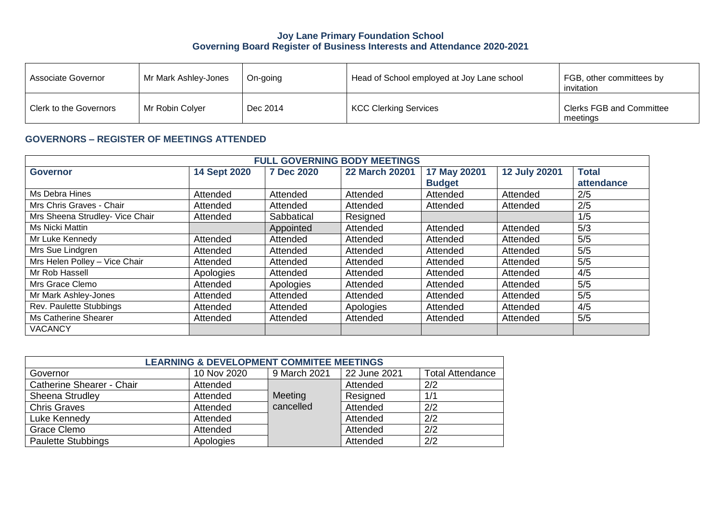## **Joy Lane Primary Foundation School Governing Board Register of Business Interests and Attendance 2020-2021**

| Associate Governor     | Mr Mark Ashley-Jones | On-going | Head of School employed at Joy Lane school | FGB, other committees by<br>invitation      |
|------------------------|----------------------|----------|--------------------------------------------|---------------------------------------------|
| Clerk to the Governors | Mr Robin Colyer      | Dec 2014 | KCC Clerking Services                      | <b>Clerks FGB and Committee</b><br>meetings |

## **GOVERNORS – REGISTER OF MEETINGS ATTENDED**

| <b>FULL GOVERNING BODY MEETINGS</b> |                     |                   |                       |               |                      |              |
|-------------------------------------|---------------------|-------------------|-----------------------|---------------|----------------------|--------------|
| <b>Governor</b>                     | <b>14 Sept 2020</b> | <b>7 Dec 2020</b> | <b>22 March 20201</b> | 17 May 20201  | <b>12 July 20201</b> | <b>Total</b> |
|                                     |                     |                   |                       | <b>Budget</b> |                      | attendance   |
| Ms Debra Hines                      | Attended            | Attended          | Attended              | Attended      | Attended             | 2/5          |
| Mrs Chris Graves - Chair            | Attended            | Attended          | Attended              | Attended      | Attended             | 2/5          |
| Mrs Sheena Strudley- Vice Chair     | Attended            | Sabbatical        | Resigned              |               |                      | 1/5          |
| Ms Nicki Mattin                     |                     | Appointed         | Attended              | Attended      | Attended             | 5/3          |
| Mr Luke Kennedy                     | Attended            | Attended          | Attended              | Attended      | Attended             | 5/5          |
| Mrs Sue Lindgren                    | Attended            | Attended          | Attended              | Attended      | Attended             | 5/5          |
| Mrs Helen Polley - Vice Chair       | Attended            | Attended          | Attended              | Attended      | Attended             | 5/5          |
| Mr Rob Hassell                      | Apologies           | Attended          | Attended              | Attended      | Attended             | 4/5          |
| Mrs Grace Clemo                     | Attended            | Apologies         | Attended              | Attended      | Attended             | 5/5          |
| Mr Mark Ashley-Jones                | Attended            | Attended          | Attended              | Attended      | Attended             | 5/5          |
| <b>Rev. Paulette Stubbings</b>      | Attended            | Attended          | Apologies             | Attended      | Attended             | 4/5          |
| Ms Catherine Shearer                | Attended            | Attended          | Attended              | Attended      | Attended             | 5/5          |
| <b>VACANCY</b>                      |                     |                   |                       |               |                      |              |

| <b>LEARNING &amp; DEVELOPMENT COMMITEE MEETINGS</b> |             |              |              |                         |  |
|-----------------------------------------------------|-------------|--------------|--------------|-------------------------|--|
| Governor                                            | 10 Nov 2020 | 9 March 2021 | 22 June 2021 | <b>Total Attendance</b> |  |
| Catherine Shearer - Chair                           | Attended    |              | Attended     | 2/2                     |  |
| Sheena Strudley                                     | Attended    | Meeting      | Resigned     | 1/1                     |  |
| <b>Chris Graves</b>                                 | Attended    | cancelled    | Attended     | 2/2                     |  |
| Luke Kennedy                                        | Attended    |              | Attended     | 2/2                     |  |
| Grace Clemo                                         | Attended    |              | Attended     | 2/2                     |  |
| <b>Paulette Stubbings</b>                           | Apologies   |              | Attended     | 2/2                     |  |